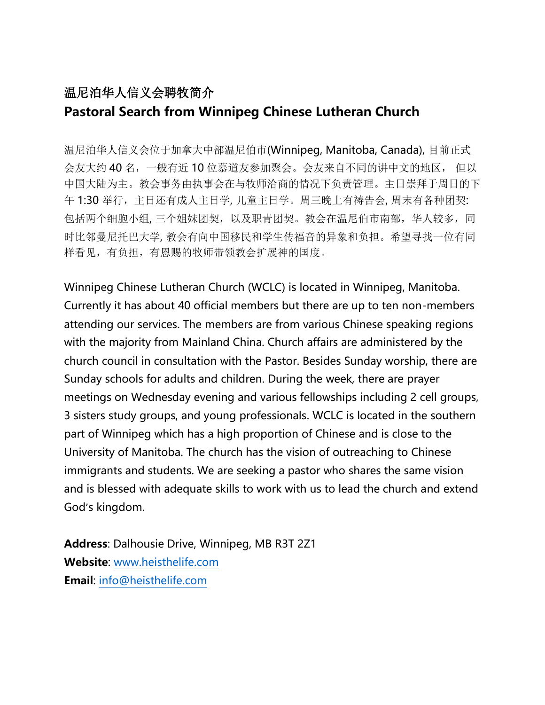## 温尼泊华人信义会聘牧简介 **Pastoral Search from Winnipeg Chinese Lutheran Church**

温尼泊华人信义会位于加拿大中部温尼伯市(Winnipeg, Manitoba, Canada), 目前正式 会友大约 40 名,一般有近 10 位慕道友参加聚会。会友来自不同的讲中文的地区, 但以 中国大陆为主。教会事务由执事会在与牧师洽商的情况下负责管理。主日崇拜于周日的下 午 1:30 举行,主日还有成人主日学, 儿童主日学。周三晚上有祷告会, 周末有各种团契: 包括两个细胞小组, 三个姐妹团契, 以及职青团契。教会在温尼伯市南部, 华人较多, 同 时比邻曼尼托巴大学, 教会有向中国移民和学生传福音的异象和负担。希望寻找一位有同 样看见,有负担,有恩赐的牧师带领教会扩展神的国度。

Winnipeg Chinese Lutheran Church (WCLC) is located in Winnipeg, Manitoba. Currently it has about 40 official members but there are up to ten non-members attending our services. The members are from various Chinese speaking regions with the majority from Mainland China. Church affairs are administered by the church council in consultation with the Pastor. Besides Sunday worship, there are Sunday schools for adults and children. During the week, there are prayer meetings on Wednesday evening and various fellowships including 2 cell groups, 3 sisters study groups, and young professionals. WCLC is located in the southern part of Winnipeg which has a high proportion of Chinese and is close to the University of Manitoba. The church has the vision of outreaching to Chinese immigrants and students. We are seeking a pastor who shares the same vision and is blessed with adequate skills to work with us to lead the church and extend God's kingdom.

**Address**: Dalhousie Drive, Winnipeg, MB R3T 2Z1 **Website**: [www.heisthelife.com](http://www.heisthelife.com/) **Email**: [info@heisthelife.com](mailto:info@heisthelife.com)